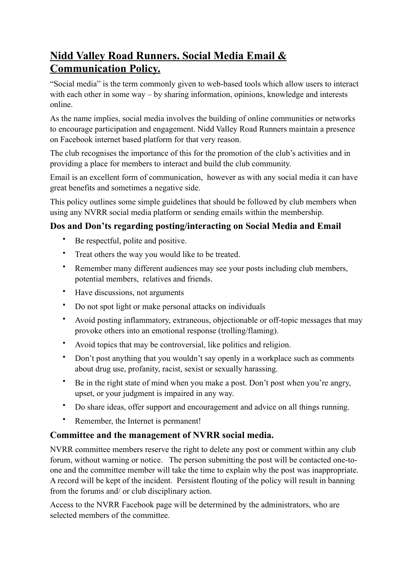# **Nidd Valley Road Runners. Social Media Email & Communication Policy.**

"Social media" is the term commonly given to web-based tools which allow users to interact with each other in some way – by sharing information, opinions, knowledge and interests online.

As the name implies, social media involves the building of online communities or networks to encourage participation and engagement. Nidd Valley Road Runners maintain a presence on Facebook internet based platform for that very reason.

The club recognises the importance of this for the promotion of the club's activities and in providing a place for members to interact and build the club community.

Email is an excellent form of communication, however as with any social media it can have great benefits and sometimes a negative side.

This policy outlines some simple guidelines that should be followed by club members when using any NVRR social media platform or sending emails within the membership.

### **Dos and Don'ts regarding posting/interacting on Social Media and Email**

- Be respectful, polite and positive.
- Treat others the way you would like to be treated.
- Remember many different audiences may see your posts including club members, potential members, relatives and friends.
- Have discussions, not arguments
- Do not spot light or make personal attacks on individuals
- Avoid posting inflammatory, extraneous, objectionable or off-topic messages that may provoke others into an emotional response (trolling/flaming).
- Avoid topics that may be controversial, like politics and religion.
- Don't post anything that you wouldn't say openly in a workplace such as comments about drug use, profanity, racist, sexist or sexually harassing.
- Be in the right state of mind when you make a post. Don't post when you're angry, upset, or your judgment is impaired in any way.
- Do share ideas, offer support and encouragement and advice on all things running.
- Remember, the Internet is permanent!

#### **Committee and the management of NVRR social media.**

NVRR committee members reserve the right to delete any post or comment within any club forum, without warning or notice. The person submitting the post will be contacted one-toone and the committee member will take the time to explain why the post was inappropriate. A record will be kept of the incident. Persistent flouting of the policy will result in banning from the forums and/ or club disciplinary action.

Access to the NVRR Facebook page will be determined by the administrators, who are selected members of the committee.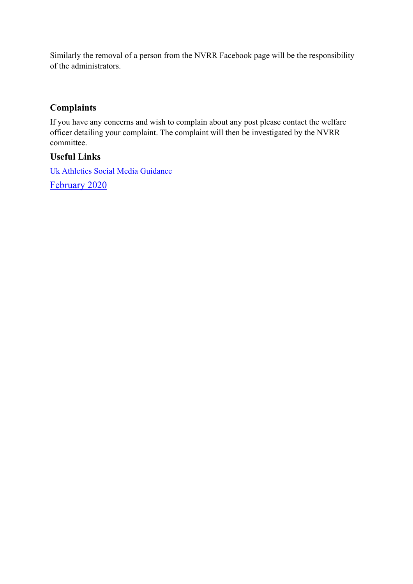Similarly the removal of a person from the NVRR Facebook page will be the responsibility of the administrators.

#### **Complaints**

If you have any concerns and wish to complain about any post please contact the welfare officer detailing your complaint. The complaint will then be investigated by the NVRR committee.

#### **Useful Links**

Uk Athletics Social Media Guidance February 2020